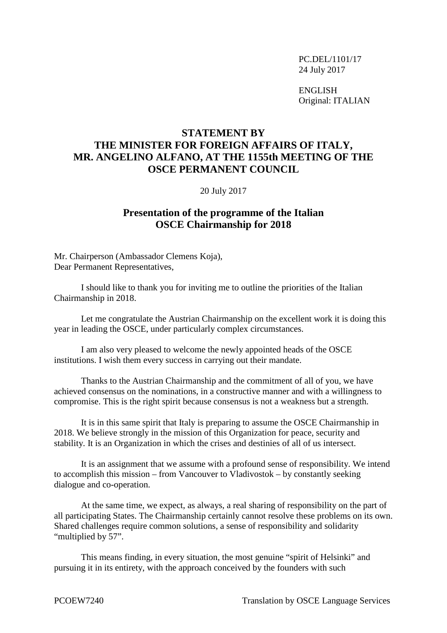PC.DEL/1101/17 24 July 2017

ENGLISH Original: ITALIAN

## **STATEMENT BY THE MINISTER FOR FOREIGN AFFAIRS OF ITALY, MR. ANGELINO ALFANO, AT THE 1155th MEETING OF THE OSCE PERMANENT COUNCIL**

20 July 2017

## **Presentation of the programme of the Italian OSCE Chairmanship for 2018**

Mr. Chairperson (Ambassador Clemens Koja), Dear Permanent Representatives,

I should like to thank you for inviting me to outline the priorities of the Italian Chairmanship in 2018.

Let me congratulate the Austrian Chairmanship on the excellent work it is doing this year in leading the OSCE, under particularly complex circumstances.

I am also very pleased to welcome the newly appointed heads of the OSCE institutions. I wish them every success in carrying out their mandate.

Thanks to the Austrian Chairmanship and the commitment of all of you, we have achieved consensus on the nominations, in a constructive manner and with a willingness to compromise. This is the right spirit because consensus is not a weakness but a strength.

It is in this same spirit that Italy is preparing to assume the OSCE Chairmanship in 2018. We believe strongly in the mission of this Organization for peace, security and stability. It is an Organization in which the crises and destinies of all of us intersect.

It is an assignment that we assume with a profound sense of responsibility. We intend to accomplish this mission – from Vancouver to Vladivostok – by constantly seeking dialogue and co-operation.

At the same time, we expect, as always, a real sharing of responsibility on the part of all participating States. The Chairmanship certainly cannot resolve these problems on its own. Shared challenges require common solutions, a sense of responsibility and solidarity "multiplied by 57".

This means finding, in every situation, the most genuine "spirit of Helsinki" and pursuing it in its entirety, with the approach conceived by the founders with such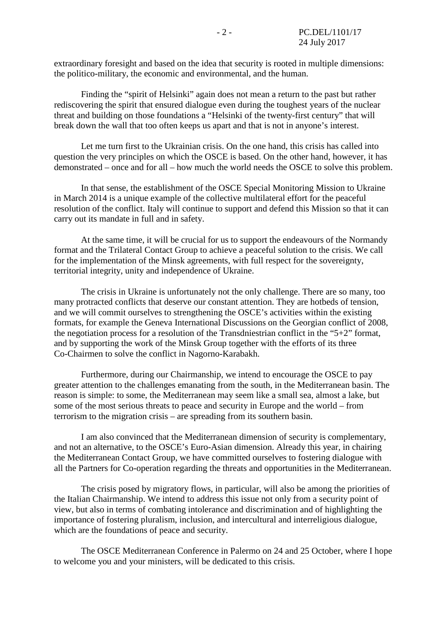extraordinary foresight and based on the idea that security is rooted in multiple dimensions: the politico-military, the economic and environmental, and the human.

Finding the "spirit of Helsinki" again does not mean a return to the past but rather rediscovering the spirit that ensured dialogue even during the toughest years of the nuclear threat and building on those foundations a "Helsinki of the twenty-first century" that will break down the wall that too often keeps us apart and that is not in anyone's interest.

Let me turn first to the Ukrainian crisis. On the one hand, this crisis has called into question the very principles on which the OSCE is based. On the other hand, however, it has demonstrated – once and for all – how much the world needs the OSCE to solve this problem.

In that sense, the establishment of the OSCE Special Monitoring Mission to Ukraine in March 2014 is a unique example of the collective multilateral effort for the peaceful resolution of the conflict. Italy will continue to support and defend this Mission so that it can carry out its mandate in full and in safety.

At the same time, it will be crucial for us to support the endeavours of the Normandy format and the Trilateral Contact Group to achieve a peaceful solution to the crisis. We call for the implementation of the Minsk agreements, with full respect for the sovereignty, territorial integrity, unity and independence of Ukraine.

The crisis in Ukraine is unfortunately not the only challenge. There are so many, too many protracted conflicts that deserve our constant attention. They are hotbeds of tension, and we will commit ourselves to strengthening the OSCE's activities within the existing formats, for example the Geneva International Discussions on the Georgian conflict of 2008, the negotiation process for a resolution of the Transdniestrian conflict in the "5+2" format, and by supporting the work of the Minsk Group together with the efforts of its three Co-Chairmen to solve the conflict in Nagorno-Karabakh.

Furthermore, during our Chairmanship, we intend to encourage the OSCE to pay greater attention to the challenges emanating from the south, in the Mediterranean basin. The reason is simple: to some, the Mediterranean may seem like a small sea, almost a lake, but some of the most serious threats to peace and security in Europe and the world – from terrorism to the migration crisis – are spreading from its southern basin.

I am also convinced that the Mediterranean dimension of security is complementary, and not an alternative, to the OSCE's Euro-Asian dimension. Already this year, in chairing the Mediterranean Contact Group, we have committed ourselves to fostering dialogue with all the Partners for Co-operation regarding the threats and opportunities in the Mediterranean.

The crisis posed by migratory flows, in particular, will also be among the priorities of the Italian Chairmanship. We intend to address this issue not only from a security point of view, but also in terms of combating intolerance and discrimination and of highlighting the importance of fostering pluralism, inclusion, and intercultural and interreligious dialogue, which are the foundations of peace and security.

The OSCE Mediterranean Conference in Palermo on 24 and 25 October, where I hope to welcome you and your ministers, will be dedicated to this crisis.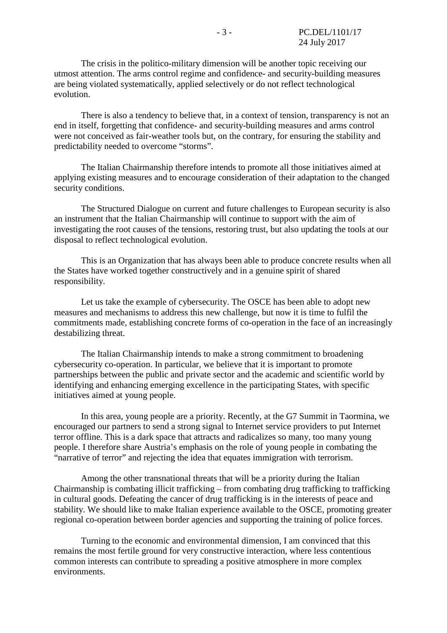The crisis in the politico-military dimension will be another topic receiving our utmost attention. The arms control regime and confidence- and security-building measures are being violated systematically, applied selectively or do not reflect technological evolution.

There is also a tendency to believe that, in a context of tension, transparency is not an end in itself, forgetting that confidence- and security-building measures and arms control were not conceived as fair-weather tools but, on the contrary, for ensuring the stability and predictability needed to overcome "storms".

The Italian Chairmanship therefore intends to promote all those initiatives aimed at applying existing measures and to encourage consideration of their adaptation to the changed security conditions.

The Structured Dialogue on current and future challenges to European security is also an instrument that the Italian Chairmanship will continue to support with the aim of investigating the root causes of the tensions, restoring trust, but also updating the tools at our disposal to reflect technological evolution.

This is an Organization that has always been able to produce concrete results when all the States have worked together constructively and in a genuine spirit of shared responsibility.

Let us take the example of cybersecurity. The OSCE has been able to adopt new measures and mechanisms to address this new challenge, but now it is time to fulfil the commitments made, establishing concrete forms of co-operation in the face of an increasingly destabilizing threat.

The Italian Chairmanship intends to make a strong commitment to broadening cybersecurity co-operation. In particular, we believe that it is important to promote partnerships between the public and private sector and the academic and scientific world by identifying and enhancing emerging excellence in the participating States, with specific initiatives aimed at young people.

In this area, young people are a priority. Recently, at the G7 Summit in Taormina, we encouraged our partners to send a strong signal to Internet service providers to put Internet terror offline. This is a dark space that attracts and radicalizes so many, too many young people. I therefore share Austria's emphasis on the role of young people in combating the "narrative of terror" and rejecting the idea that equates immigration with terrorism.

Among the other transnational threats that will be a priority during the Italian Chairmanship is combating illicit trafficking – from combating drug trafficking to trafficking in cultural goods. Defeating the cancer of drug trafficking is in the interests of peace and stability. We should like to make Italian experience available to the OSCE, promoting greater regional co-operation between border agencies and supporting the training of police forces.

Turning to the economic and environmental dimension, I am convinced that this remains the most fertile ground for very constructive interaction, where less contentious common interests can contribute to spreading a positive atmosphere in more complex environments.